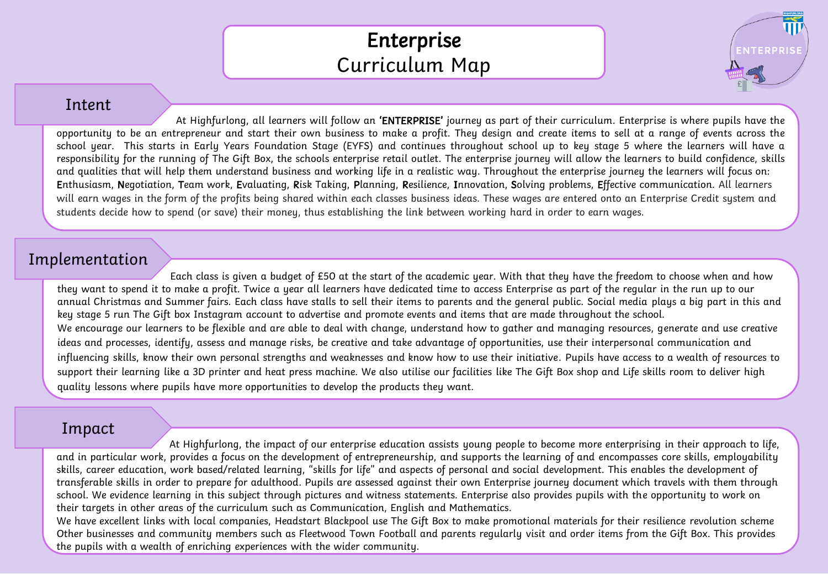## Enterprise Curriculum Map

**NTERPRIS** 

## Intent

At Highfurlong, all learners will follow an 'ENTERPRISE' journey as part of their curriculum. Enterprise is where pupils have the opportunity to be an entrepreneur and start their own business to make a profit. They design and create items to sell at a range of events across the school year. This starts in Early Years Foundation Stage (EYFS) and continues throughout school up to key stage 5 where the learners will have a responsibility for the running of The Gift Box, the schools enterprise retail outlet. The enterprise journey will allow the learners to build confidence, skills and qualities that will help them understand business and working life in a realistic way. Throughout the enterprise journey the learners will focus on: Enthusiasm, Negotiation, Team work, Evaluating, Risk Taking, Planning, Resilience, Innovation, Solving problems, Effective communication. All learners will earn wages in the form of the profits being shared within each classes business ideas. These wages are entered onto an Enterprise Credit system and students decide how to spend (or save) their money, thus establishing the link between working hard in order to earn wages.

## Implementation

Each class is given a budget of £50 at the start of the academic year. With that they have the freedom to choose when and how they want to spend it to make a profit. Twice a year all learners have dedicated time to access Enterprise as part of the regular in the run up to our annual Christmas and Summer fairs. Each class have stalls to sell their items to parents and the general public. Social media plays a big part in this and key stage 5 run The Gift box Instagram account to advertise and promote events and items that are made throughout the school. We encourage our learners to be flexible and are able to deal with change, understand how to gather and managing resources, generate and use creative ideas and processes, identify, assess and manage risks, be creative and take advantage of opportunities, use their interpersonal communication and influencing skills, know their own personal strengths and weaknesses and know how to use their initiative. Pupils have access to a wealth of resources to support their learning like a 3D printer and heat press machine. We also utilise our facilities like The Gift Box shop and Life skills room to deliver high quality lessons where pupils have more opportunities to develop the products they want.

## Impact

At Highfurlong, the impact of our enterprise education assists young people to become more enterprising in their approach to life, and in particular work, provides a focus on the development of entrepreneurship, and supports the learning of and encompasses core skills, employability skills, career education, work based/related learning, "skills for life" and aspects of personal and social development. This enables the development of transferable skills in order to prepare for adulthood. Pupils are assessed against their own Enterprise journey document which travels with them through school. We evidence learning in this subject through pictures and witness statements. Enterprise also provides pupils with the opportunity to work on their targets in other areas of the curriculum such as Communication, English and Mathematics.

We have excellent links with local companies, Headstart Blackpool use The Gift Box to make promotional materials for their resilience revolution scheme Other businesses and community members such as Fleetwood Town Football and parents regularly visit and order items from the Gift Box. This provides the pupils with a wealth of enriching experiences with the wider community.